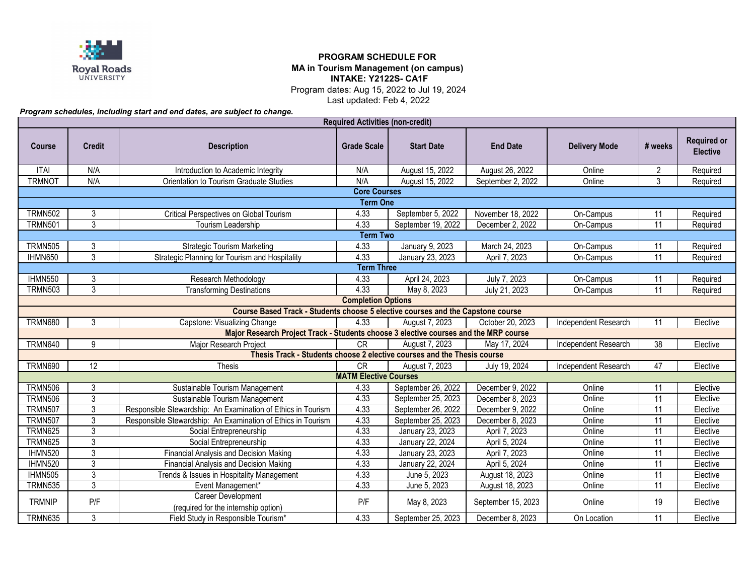

## **PROGRAM SCHEDULE FOR MA in Tourism Management (on campus) INTAKE: Y2122S- CA1F**

Program dates: Aug 15, 2022 to Jul 19, 2024

Last updated: Feb 4, 2022

*Program schedules, including start and end dates, are subject to change.*

| <b>Required Activities (non-credit)</b>                                              |                |                                                                         |                              |                    |                    |                      |                 |                                       |  |  |  |  |
|--------------------------------------------------------------------------------------|----------------|-------------------------------------------------------------------------|------------------------------|--------------------|--------------------|----------------------|-----------------|---------------------------------------|--|--|--|--|
| <b>Course</b>                                                                        | <b>Credit</b>  | <b>Description</b>                                                      | <b>Grade Scale</b>           | <b>Start Date</b>  | <b>End Date</b>    | <b>Delivery Mode</b> | # weeks         | <b>Required or</b><br><b>Elective</b> |  |  |  |  |
| <b>ITAI</b>                                                                          | N/A            | Introduction to Academic Integrity                                      | N/A                          | August 15, 2022    | August 26, 2022    | Online               | $\overline{2}$  | Required                              |  |  |  |  |
| <b>TRMNOT</b>                                                                        | N/A            | Orientation to Tourism Graduate Studies                                 | N/A                          | August 15, 2022    | September 2, 2022  | Online               | 3               | Required                              |  |  |  |  |
| <b>Core Courses</b>                                                                  |                |                                                                         |                              |                    |                    |                      |                 |                                       |  |  |  |  |
| <b>Term One</b>                                                                      |                |                                                                         |                              |                    |                    |                      |                 |                                       |  |  |  |  |
| <b>TRMN502</b>                                                                       | 3              | <b>Critical Perspectives on Global Tourism</b>                          | 4.33                         | September 5, 2022  | November 18, 2022  | On-Campus            | 11              | Required                              |  |  |  |  |
| <b>TRMN501</b>                                                                       | $\overline{3}$ | Tourism Leadership                                                      | 4.33                         | September 19, 2022 | December 2, 2022   | On-Campus            | 11              | Required                              |  |  |  |  |
| <b>Term Two</b>                                                                      |                |                                                                         |                              |                    |                    |                      |                 |                                       |  |  |  |  |
| <b>TRMN505</b>                                                                       | 3              | <b>Strategic Tourism Marketing</b>                                      | 4.33                         | January 9, 2023    | March 24, 2023     | On-Campus            | 11              | Required                              |  |  |  |  |
| IHMN650                                                                              | 3              | Strategic Planning for Tourism and Hospitality                          | 4.33                         | January 23, 2023   | April 7, 2023      | On-Campus            | 11              | Required                              |  |  |  |  |
| <b>Term Three</b>                                                                    |                |                                                                         |                              |                    |                    |                      |                 |                                       |  |  |  |  |
| <b>IHMN550</b>                                                                       | 3              | Research Methodology                                                    | 4.33                         | April 24, 2023     | July 7, 2023       | On-Campus            | 11              | Required                              |  |  |  |  |
| <b>TRMN503</b>                                                                       | 3              | <b>Transforming Destinations</b>                                        | 4.33                         | May 8, 2023        | July 21, 2023      | On-Campus            | 11              | Required                              |  |  |  |  |
|                                                                                      |                |                                                                         | <b>Completion Options</b>    |                    |                    |                      |                 |                                       |  |  |  |  |
| Course Based Track - Students choose 5 elective courses and the Capstone course      |                |                                                                         |                              |                    |                    |                      |                 |                                       |  |  |  |  |
| <b>TRMN680</b>                                                                       | 3              | Capstone: Visualizing Change                                            | 4.33                         | August 7, 2023     | October 20, 2023   | Independent Research | 11              | Elective                              |  |  |  |  |
| Major Research Project Track - Students choose 3 elective courses and the MRP course |                |                                                                         |                              |                    |                    |                      |                 |                                       |  |  |  |  |
| <b>TRMN640</b>                                                                       | 9              | Major Research Project                                                  | CR                           | August 7, 2023     | May 17, 2024       | Independent Research | 38              | Elective                              |  |  |  |  |
|                                                                                      |                | Thesis Track - Students choose 2 elective courses and the Thesis course |                              |                    |                    |                      |                 |                                       |  |  |  |  |
| <b>TRMN690</b>                                                                       | 12             | Thesis                                                                  | CR                           | August 7, 2023     | July 19, 2024      | Independent Research | 47              | Elective                              |  |  |  |  |
|                                                                                      |                |                                                                         | <b>MATM Elective Courses</b> |                    |                    |                      |                 |                                       |  |  |  |  |
| <b>TRMN506</b>                                                                       | 3              | Sustainable Tourism Management                                          | 4.33                         | September 26, 2022 | December 9, 2022   | Online               | 11              | Elective                              |  |  |  |  |
| <b>TRMN506</b>                                                                       | $\overline{3}$ | Sustainable Tourism Management                                          | 4.33                         | September 25, 2023 | December 8, 2023   | Online               | 11              | Elective                              |  |  |  |  |
| <b>TRMN507</b>                                                                       | 3              | Responsible Stewardship: An Examination of Ethics in Tourism            | 4.33                         | September 26, 2022 | December 9, 2022   | Online               | 11              | Elective                              |  |  |  |  |
| <b>TRMN507</b>                                                                       | $\overline{3}$ | Responsible Stewardship: An Examination of Ethics in Tourism            | 4.33                         | September 25, 2023 | December 8, 2023   | Online               | 11              | Elective                              |  |  |  |  |
| <b>TRMN625</b>                                                                       | 3              | Social Entrepreneurship                                                 | 4.33                         | January 23, 2023   | April 7, 2023      | Online               | 11              | Elective                              |  |  |  |  |
| <b>TRMN625</b>                                                                       | $\overline{3}$ | Social Entrepreneurship                                                 | 4.33                         | January 22, 2024   | April 5, 2024      | Online               | 11              | Elective                              |  |  |  |  |
| IHMN520                                                                              | $\overline{3}$ | Financial Analysis and Decision Making                                  | 4.33                         | January 23, 2023   | April 7, 2023      | Online               | 11              | Elective                              |  |  |  |  |
| IHMN520                                                                              | 3              | Financial Analysis and Decision Making                                  | 4.33                         | January 22, 2024   | April 5, 2024      | Online               | $\overline{11}$ | Elective                              |  |  |  |  |
| IHMN505                                                                              | $\overline{3}$ | Trends & Issues in Hospitality Management                               | 4.33                         | June 5, 2023       | August 18, 2023    | Online               | 11              | Elective                              |  |  |  |  |
| <b>TRMN535</b>                                                                       | $\overline{3}$ | Event Management*                                                       | 4.33                         | June 5, 2023       | August 18, 2023    | Online               | 11              | Elective                              |  |  |  |  |
| <b>TRMNIP</b>                                                                        | P/F            | Career Development<br>(required for the internship option)              | P/F                          | May 8, 2023        | September 15, 2023 | Online               | 19              | Elective                              |  |  |  |  |
| <b>TRMN635</b>                                                                       | $\mathbf{3}$   | Field Study in Responsible Tourism*                                     | 4.33                         | September 25, 2023 | December 8, 2023   | On Location          | 11              | Elective                              |  |  |  |  |